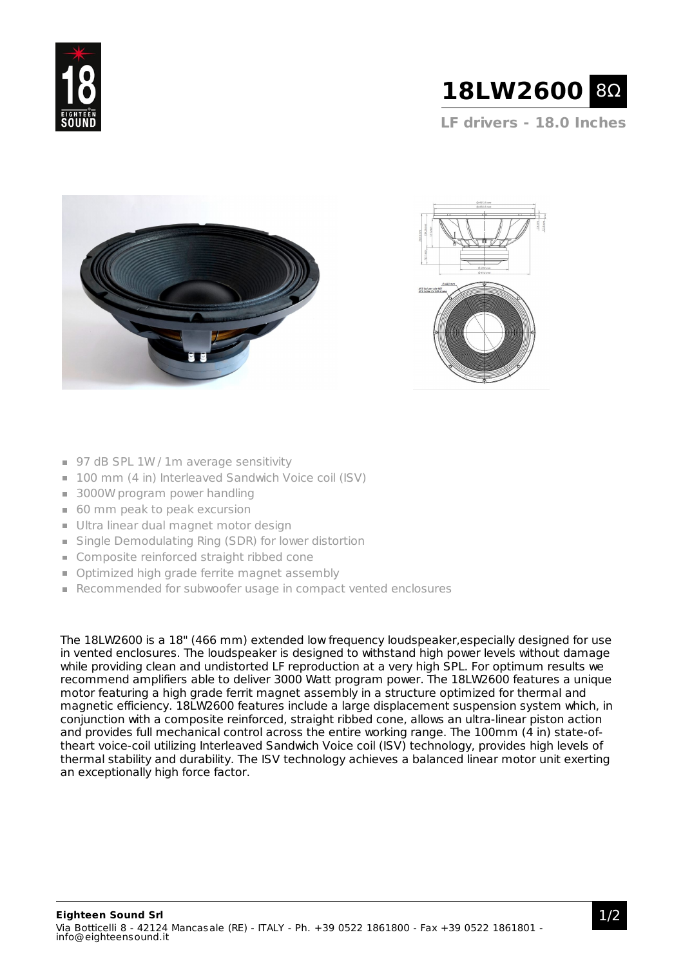



**LF drivers - 18.0 Inches**





- 97 dB SPL 1W / 1m average sensitivity
- 100 mm (4 in) Interleaved Sandwich Voice coil (ISV)
- 3000W program power handling
- 60 mm peak to peak excursion
- Ultra linear dual magnet motor design
- Single Demodulating Ring (SDR) for lower distortion
- **Composite reinforced straight ribbed cone**
- **Optimized high grade ferrite magnet assembly**
- Recommended for subwoofer usage in compact vented enclosures

The 18LW2600 is a 18" (466 mm) extended low frequency loudspeaker,especially designed for use in vented enclosures. The loudspeaker is designed to withstand high power levels without damage while providing clean and undistorted LF reproduction at a very high SPL. For optimum results we recommend amplifiers able to deliver 3000 Watt program power. The 18LW2600 features a unique motor featuring a high grade ferrit magnet assembly in a structure optimized for thermal and magnetic efficiency. 18LW2600 features include a large displacement suspension system which, in conjunction with a composite reinforced, straight ribbed cone, allows an ultra-linear piston action and provides full mechanical control across the entire working range. The 100mm (4 in) state-oftheart voice-coil utilizing Interleaved Sandwich Voice coil (ISV) technology, provides high levels of thermal stability and durability. The ISV technology achieves a balanced linear motor unit exerting an exceptionally high force factor.